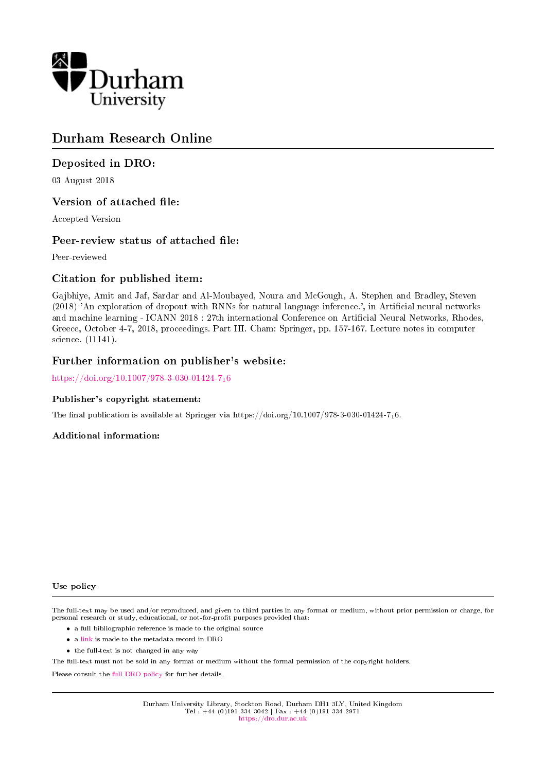

# Durham Research Online

# Deposited in DRO:

03 August 2018

# Version of attached file:

Accepted Version

# Peer-review status of attached file:

Peer-reviewed

# Citation for published item:

Gajbhiye, Amit and Jaf, Sardar and Al-Moubayed, Noura and McGough, A. Stephen and Bradley, Steven (2018) 'An exploration of dropout with RNNs for natural language inference.', in Artificial neural networks and machine learning - ICANN 2018 : 27th international Conference on Articial Neural Networks, Rhodes, Greece, October 4-7, 2018, proceedings. Part III. Cham: Springer, pp. 157-167. Lecture notes in computer science. (11141).

# Further information on publisher's website:

[https://doi.org/10.1007/978-3-030-01424-7](https://doi.org/10.1007/978-3-030-01424-7_16)16

## Publisher's copyright statement:

The final publication is available at Springer via https://doi.org/10.1007/978-3-030-01424-716.

## Additional information:

### Use policy

The full-text may be used and/or reproduced, and given to third parties in any format or medium, without prior permission or charge, for personal research or study, educational, or not-for-profit purposes provided that:

- a full bibliographic reference is made to the original source
- a [link](http://dro.dur.ac.uk/25791/) is made to the metadata record in DRO
- the full-text is not changed in any way

The full-text must not be sold in any format or medium without the formal permission of the copyright holders.

Please consult the [full DRO policy](https://dro.dur.ac.uk/policies/usepolicy.pdf) for further details.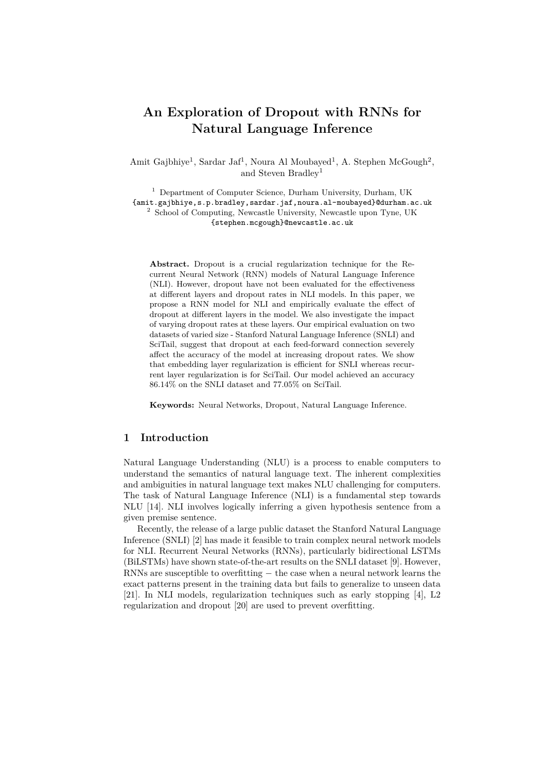# **An Exploration of Dropout with RNNs for Natural Language Inference**

Amit Gajbhiye<sup>1</sup>, Sardar Jaf<sup>1</sup>, Noura Al Moubayed<sup>1</sup>, A. Stephen McGough<sup>2</sup>, and Steven Bradley<sup>1</sup>

<sup>1</sup> Department of Computer Science, Durham University, Durham, UK {amit.gajbhiye,s.p.bradley,sardar.jaf,noura.al-moubayed}@durham.ac.uk <sup>2</sup> School of Computing, Newcastle University, Newcastle upon Tyne, UK {stephen.mcgough}@newcastle.ac.uk

**Abstract.** Dropout is a crucial regularization technique for the Recurrent Neural Network (RNN) models of Natural Language Inference (NLI). However, dropout have not been evaluated for the effectiveness at different layers and dropout rates in NLI models. In this paper, we propose a RNN model for NLI and empirically evaluate the effect of dropout at different layers in the model. We also investigate the impact of varying dropout rates at these layers. Our empirical evaluation on two datasets of varied size - Stanford Natural Language Inference (SNLI) and SciTail, suggest that dropout at each feed-forward connection severely affect the accuracy of the model at increasing dropout rates. We show that embedding layer regularization is efficient for SNLI whereas recurrent layer regularization is for SciTail. Our model achieved an accuracy 86*.*14% on the SNLI dataset and 77*.*05% on SciTail.

**Keywords:** Neural Networks, Dropout, Natural Language Inference.

# **1 Introduction**

Natural Language Understanding (NLU) is a process to enable computers to understand the semantics of natural language text. The inherent complexities and ambiguities in natural language text makes NLU challenging for computers. The task of Natural Language Inference (NLI) is a fundamental step towards NLU [14]. NLI involves logically inferring a given hypothesis sentence from a given premise sentence.

Recently, the release of a large public dataset the Stanford Natural Language Inference (SNLI) [2] has made it feasible to train complex neural network models for NLI. Recurrent Neural Networks (RNNs), particularly bidirectional LSTMs (BiLSTMs) have shown state-of-the-art results on the SNLI dataset [9]. However, RNNs are susceptible to overfitting *−* the case when a neural network learns the exact patterns present in the training data but fails to generalize to unseen data [21]. In NLI models, regularization techniques such as early stopping [4], L2 regularization and dropout [20] are used to prevent overfitting.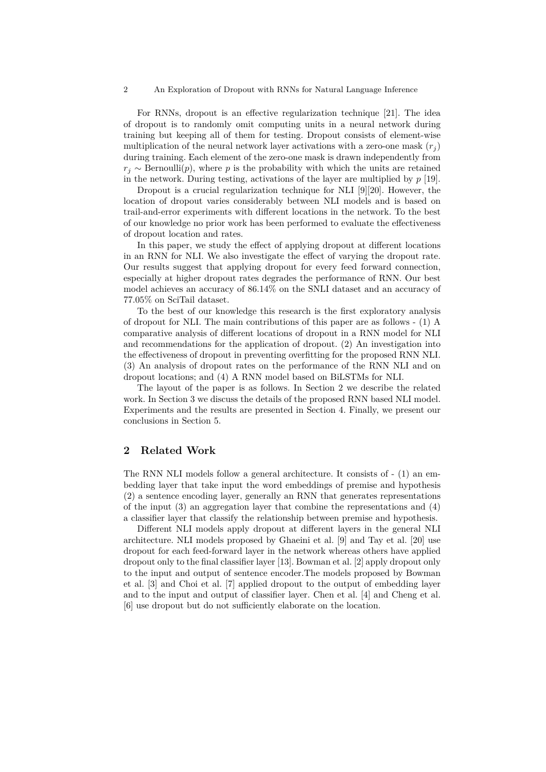#### 2 An Exploration of Dropout with RNNs for Natural Language Inference

For RNNs, dropout is an effective regularization technique [21]. The idea of dropout is to randomly omit computing units in a neural network during training but keeping all of them for testing. Dropout consists of element-wise multiplication of the neural network layer activations with a zero-one mask  $(r_i)$ during training. Each element of the zero-one mask is drawn independently from  $r_i \sim$  Bernoulli(*p*), where *p* is the probability with which the units are retained in the network. During testing, activations of the layer are multiplied by  $p$  [19].

Dropout is a crucial regularization technique for NLI [9][20]. However, the location of dropout varies considerably between NLI models and is based on trail-and-error experiments with different locations in the network. To the best of our knowledge no prior work has been performed to evaluate the effectiveness of dropout location and rates.

In this paper, we study the effect of applying dropout at different locations in an RNN for NLI. We also investigate the effect of varying the dropout rate. Our results suggest that applying dropout for every feed forward connection, especially at higher dropout rates degrades the performance of RNN. Our best model achieves an accuracy of 86.14% on the SNLI dataset and an accuracy of 77.05% on SciTail dataset.

To the best of our knowledge this research is the first exploratory analysis of dropout for NLI. The main contributions of this paper are as follows - (1) A comparative analysis of different locations of dropout in a RNN model for NLI and recommendations for the application of dropout. (2) An investigation into the effectiveness of dropout in preventing overfitting for the proposed RNN NLI. (3) An analysis of dropout rates on the performance of the RNN NLI and on dropout locations; and (4) A RNN model based on BiLSTMs for NLI.

The layout of the paper is as follows. In Section 2 we describe the related work. In Section 3 we discuss the details of the proposed RNN based NLI model. Experiments and the results are presented in Section 4. Finally, we present our conclusions in Section 5.

## **2 Related Work**

The RNN NLI models follow a general architecture. It consists of - (1) an embedding layer that take input the word embeddings of premise and hypothesis (2) a sentence encoding layer, generally an RNN that generates representations of the input (3) an aggregation layer that combine the representations and (4) a classifier layer that classify the relationship between premise and hypothesis.

Different NLI models apply dropout at different layers in the general NLI architecture. NLI models proposed by Ghaeini et al. [9] and Tay et al. [20] use dropout for each feed-forward layer in the network whereas others have applied dropout only to the final classifier layer [13]. Bowman et al. [2] apply dropout only to the input and output of sentence encoder.The models proposed by Bowman et al. [3] and Choi et al. [7] applied dropout to the output of embedding layer and to the input and output of classifier layer. Chen et al. [4] and Cheng et al. [6] use dropout but do not sufficiently elaborate on the location.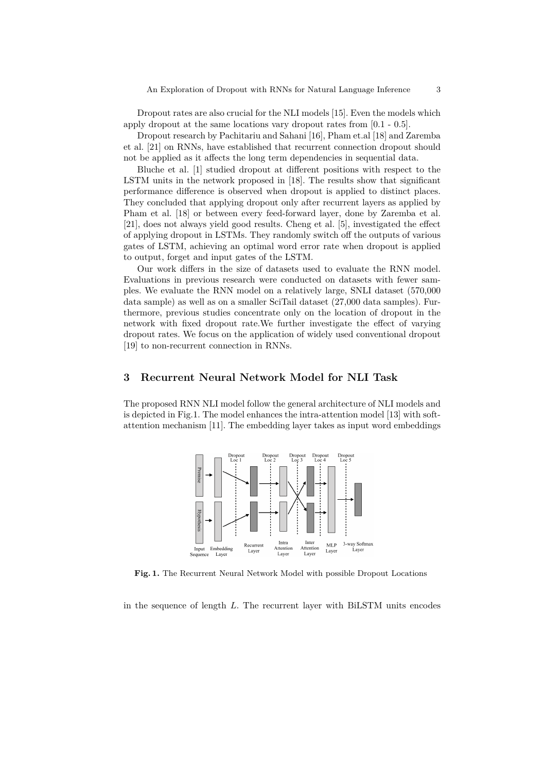Dropout rates are also crucial for the NLI models [15]. Even the models which apply dropout at the same locations vary dropout rates from [0.1 - 0.5].

Dropout research by Pachitariu and Sahani [16], Pham et.al [18] and Zaremba et al. [21] on RNNs, have established that recurrent connection dropout should not be applied as it affects the long term dependencies in sequential data.

Bluche et al. [1] studied dropout at different positions with respect to the LSTM units in the network proposed in [18]. The results show that significant performance difference is observed when dropout is applied to distinct places. They concluded that applying dropout only after recurrent layers as applied by Pham et al. [18] or between every feed-forward layer, done by Zaremba et al. [21], does not always yield good results. Cheng et al. [5], investigated the effect of applying dropout in LSTMs. They randomly switch off the outputs of various gates of LSTM, achieving an optimal word error rate when dropout is applied to output, forget and input gates of the LSTM.

Our work differs in the size of datasets used to evaluate the RNN model. Evaluations in previous research were conducted on datasets with fewer samples. We evaluate the RNN model on a relatively large, SNLI dataset (570,000 data sample) as well as on a smaller SciTail dataset (27,000 data samples). Furthermore, previous studies concentrate only on the location of dropout in the network with fixed dropout rate.We further investigate the effect of varying dropout rates. We focus on the application of widely used conventional dropout [19] to non-recurrent connection in RNNs.

### **3 Recurrent Neural Network Model for NLI Task**

The proposed RNN NLI model follow the general architecture of NLI models and is depicted in Fig.1. The model enhances the intra-attention model [13] with softattention mechanism [11]. The embedding layer takes as input word embeddings



**Fig. 1.** The Recurrent Neural Network Model with possible Dropout Locations

in the sequence of length *L*. The recurrent layer with BiLSTM units encodes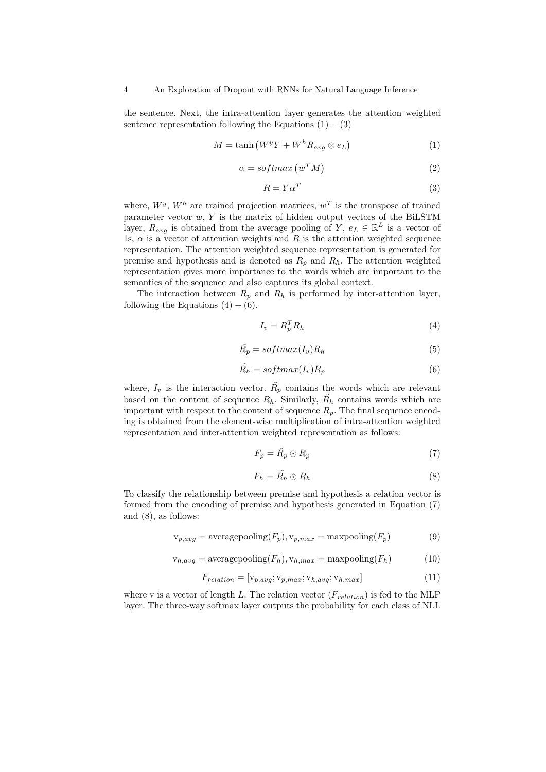the sentence. Next, the intra-attention layer generates the attention weighted sentence representation following the Equations  $(1) - (3)$ 

$$
M = \tanh\left(W^y Y + W^h R_{avg} \otimes e_L\right) \tag{1}
$$

$$
\alpha = softmax(w^T M) \tag{2}
$$

$$
R = Y\alpha^T \tag{3}
$$

where,  $W^y$ ,  $W^h$  are trained projection matrices,  $w^T$  is the transpose of trained parameter vector *w*, *Y* is the matrix of hidden output vectors of the BiLSTM layer,  $R_{avg}$  is obtained from the average pooling of *Y*,  $e_L \in \mathbb{R}^L$  is a vector of 1s,  $\alpha$  is a vector of attention weights and  $R$  is the attention weighted sequence representation. The attention weighted sequence representation is generated for premise and hypothesis and is denoted as  $R_p$  and  $R_h$ . The attention weighted representation gives more importance to the words which are important to the semantics of the sequence and also captures its global context.

The interaction between  $R_p$  and  $R_h$  is performed by inter-attention layer, following the Equations  $(4) - (6)$ .

$$
I_v = R_p^T R_h \tag{4}
$$

$$
\tilde{R_p} = softmax(I_v)R_h \tag{5}
$$

$$
\tilde{R_h} = softmax(I_v)R_p \tag{6}
$$

where,  $I_v$  is the interaction vector.  $\tilde{R_p}$  contains the words which are relevant based on the content of sequence  $R_h$ . Similarly,  $\tilde{R_h}$  contains words which are important with respect to the content of sequence  $R_p$ . The final sequence encoding is obtained from the element-wise multiplication of intra-attention weighted representation and inter-attention weighted representation as follows:

$$
F_p = \tilde{R_p} \odot R_p \tag{7}
$$

$$
F_h = \tilde{R_h} \odot R_h \tag{8}
$$

To classify the relationship between premise and hypothesis a relation vector is formed from the encoding of premise and hypothesis generated in Equation (7) and (8), as follows:

$$
v_{p,avg} = \text{averagepooling}(F_p), v_{p,max} = \text{maxpooling}(F_p) \tag{9}
$$

$$
v_{h,avg} = \text{averagepooling}(F_h), v_{h,max} = \text{maxpooling}(F_h)
$$
 (10)

$$
F_{relation} = [\mathbf{v}_{p,avg}; \mathbf{v}_{p,max}; \mathbf{v}_{h,avg}; \mathbf{v}_{h,max}] \tag{11}
$$

where v is a vector of length *L*. The relation vector (*Frelation*) is fed to the MLP layer. The three-way softmax layer outputs the probability for each class of NLI.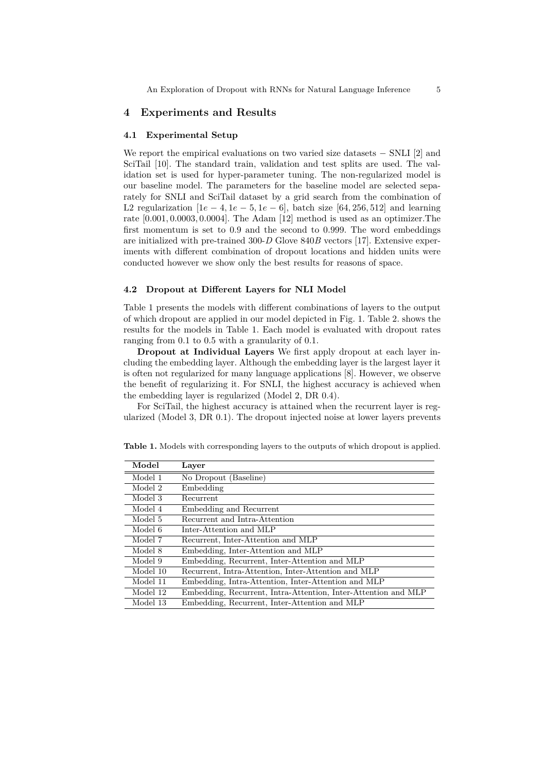### **4 Experiments and Results**

#### **4.1 Experimental Setup**

We report the empirical evaluations on two varied size datasets *−* SNLI [2] and SciTail [10]. The standard train, validation and test splits are used. The validation set is used for hyper-parameter tuning. The non-regularized model is our baseline model. The parameters for the baseline model are selected separately for SNLI and SciTail dataset by a grid search from the combination of L2 regularization  $[1e - 4, 1e - 5, 1e - 6]$ , batch size  $[64, 256, 512]$  and learning rate [0*.*001*,* 0*.*0003*,* 0*.*0004]. The Adam [12] method is used as an optimizer.The first momentum is set to 0*.*9 and the second to 0*.*999. The word embeddings are initialized with pre-trained 300-*D* Glove 840*B* vectors [17]. Extensive experiments with different combination of dropout locations and hidden units were conducted however we show only the best results for reasons of space.

#### **4.2 Dropout at Different Layers for NLI Model**

Table 1 presents the models with different combinations of layers to the output of which dropout are applied in our model depicted in Fig. 1. Table 2. shows the results for the models in Table 1. Each model is evaluated with dropout rates ranging from 0.1 to 0.5 with a granularity of 0.1.

**Dropout at Individual Layers** We first apply dropout at each layer including the embedding layer. Although the embedding layer is the largest layer it is often not regularized for many language applications [8]. However, we observe the benefit of regularizing it. For SNLI, the highest accuracy is achieved when the embedding layer is regularized (Model 2, DR 0.4).

For SciTail, the highest accuracy is attained when the recurrent layer is regularized (Model 3, DR 0.1). The dropout injected noise at lower layers prevents

| Model    | Laver                                                          |
|----------|----------------------------------------------------------------|
| Model 1  | No Dropout (Baseline)                                          |
| Model 2  | Embedding                                                      |
| Model 3  | Recurrent                                                      |
| Model 4  | Embedding and Recurrent                                        |
| Model 5  | Recurrent and Intra-Attention                                  |
| Model 6  | Inter-Attention and MLP                                        |
| Model 7  | Recurrent, Inter-Attention and MLP                             |
| Model 8  | Embedding, Inter-Attention and MLP                             |
| Model 9  | Embedding, Recurrent, Inter-Attention and MLP                  |
| Model 10 | Recurrent, Intra-Attention, Inter-Attention and MLP            |
| Model 11 | Embedding, Intra-Attention, Inter-Attention and MLP            |
| Model 12 | Embedding, Recurrent, Intra-Attention, Inter-Attention and MLP |
| Model 13 | Embedding, Recurrent, Inter-Attention and MLP                  |

**Table 1.** Models with corresponding layers to the outputs of which dropout is applied.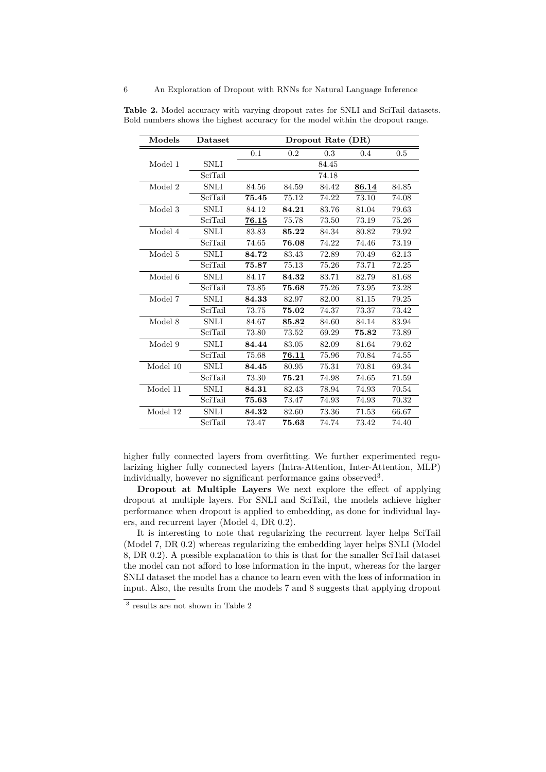| Models   | Dataset                      | Dropout Rate (DR) |       |       |       |       |  |
|----------|------------------------------|-------------------|-------|-------|-------|-------|--|
|          |                              | 0.1               | 0.2   | 0.3   | 0.4   | 0.5   |  |
| Model 1  | <b>SNLI</b>                  |                   |       | 84.45 |       |       |  |
|          | $\overline{\text{Sci}}$ Tail |                   |       | 74.18 |       |       |  |
| Model 2  | SNLI                         | 84.56             | 84.59 | 84.42 | 86.14 | 84.85 |  |
|          | SciTail                      | 75.45             | 75.12 | 74.22 | 73.10 | 74.08 |  |
| Model 3  | <b>SNLI</b>                  | 84.12             | 84.21 | 83.76 | 81.04 | 79.63 |  |
|          | SciTail                      | 76.15             | 75.78 | 73.50 | 73.19 | 75.26 |  |
| Model 4  | <b>SNLI</b>                  | 83.83             | 85.22 | 84.34 | 80.82 | 79.92 |  |
|          | SciTail                      | 74.65             | 76.08 | 74.22 | 74.46 | 73.19 |  |
| Model 5  | <b>SNLI</b>                  | 84.72             | 83.43 | 72.89 | 70.49 | 62.13 |  |
|          | SciTail                      | 75.87             | 75.13 | 75.26 | 73.71 | 72.25 |  |
| Model 6  | <b>SNLI</b>                  | 84.17             | 84.32 | 83.71 | 82.79 | 81.68 |  |
|          | SciTail                      | 73.85             | 75.68 | 75.26 | 73.95 | 73.28 |  |
| Model 7  | <b>SNLI</b>                  | 84.33             | 82.97 | 82.00 | 81.15 | 79.25 |  |
|          | SciTail                      | 73.75             | 75.02 | 74.37 | 73.37 | 73.42 |  |
| Model 8  | <b>SNLI</b>                  | 84.67             | 85.82 | 84.60 | 84.14 | 83.94 |  |
|          | SciTail                      | 73.80             | 73.52 | 69.29 | 75.82 | 73.89 |  |
| Model 9  | SNLI                         | 84.44             | 83.05 | 82.09 | 81.64 | 79.62 |  |
|          | SciTail                      | 75.68             | 76.11 | 75.96 | 70.84 | 74.55 |  |
| Model 10 | <b>SNLI</b>                  | 84.45             | 80.95 | 75.31 | 70.81 | 69.34 |  |
|          | SciTail                      | 73.30             | 75.21 | 74.98 | 74.65 | 71.59 |  |
| Model 11 | <b>SNLI</b>                  | 84.31             | 82.43 | 78.94 | 74.93 | 70.54 |  |
|          | SciTail                      | 75.63             | 73.47 | 74.93 | 74.93 | 70.32 |  |
| Model 12 | <b>SNLI</b>                  | 84.32             | 82.60 | 73.36 | 71.53 | 66.67 |  |
|          | SciTail                      | 73.47             | 75.63 | 74.74 | 73.42 | 74.40 |  |

**Table 2.** Model accuracy with varying dropout rates for SNLI and SciTail datasets. Bold numbers shows the highest accuracy for the model within the dropout range.

higher fully connected layers from overfitting. We further experimented regularizing higher fully connected layers (Intra-Attention, Inter-Attention, MLP) individually, however no significant performance gains observed<sup>3</sup>.

**Dropout at Multiple Layers** We next explore the effect of applying dropout at multiple layers. For SNLI and SciTail, the models achieve higher performance when dropout is applied to embedding, as done for individual layers, and recurrent layer (Model 4, DR 0.2).

It is interesting to note that regularizing the recurrent layer helps SciTail (Model 7, DR 0.2) whereas regularizing the embedding layer helps SNLI (Model 8, DR 0.2). A possible explanation to this is that for the smaller SciTail dataset the model can not afford to lose information in the input, whereas for the larger SNLI dataset the model has a chance to learn even with the loss of information in input. Also, the results from the models 7 and 8 suggests that applying dropout

<sup>3</sup> results are not shown in Table 2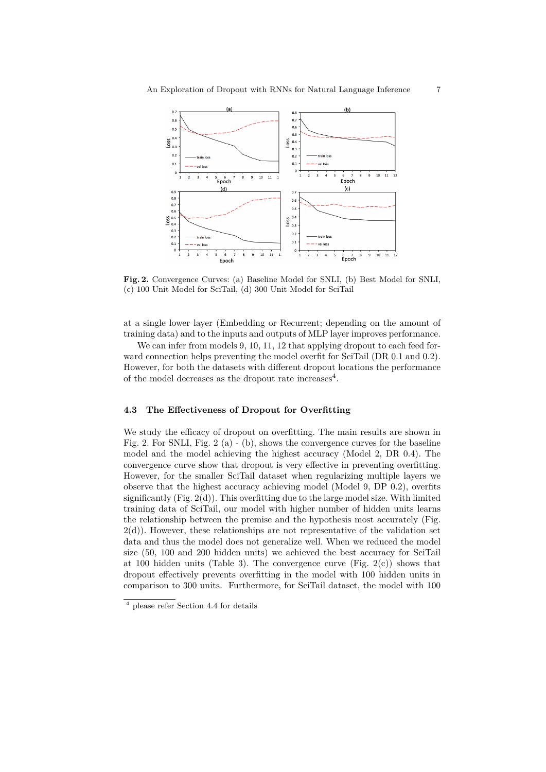

**Fig. 2.** Convergence Curves: (a) Baseline Model for SNLI, (b) Best Model for SNLI, (c) 100 Unit Model for SciTail, (d) 300 Unit Model for SciTail

at a single lower layer (Embedding or Recurrent; depending on the amount of training data) and to the inputs and outputs of MLP layer improves performance.

We can infer from models 9, 10, 11, 12 that applying dropout to each feed forward connection helps preventing the model overfit for SciTail (DR 0.1 and 0.2). However, for both the datasets with different dropout locations the performance of the model decreases as the dropout rate increases<sup>4</sup>.

### **4.3 The Effectiveness of Dropout for Overfitting**

We study the efficacy of dropout on overfitting. The main results are shown in Fig. 2. For SNLI, Fig. 2 (a) - (b), shows the convergence curves for the baseline model and the model achieving the highest accuracy (Model 2, DR 0.4). The convergence curve show that dropout is very effective in preventing overfitting. However, for the smaller SciTail dataset when regularizing multiple layers we observe that the highest accuracy achieving model (Model 9, DP 0.2), overfits significantly  $(Fig. 2(d))$ . This overfitting due to the large model size. With limited training data of SciTail, our model with higher number of hidden units learns the relationship between the premise and the hypothesis most accurately (Fig.  $2(d)$ ). However, these relationships are not representative of the validation set data and thus the model does not generalize well. When we reduced the model size (50, 100 and 200 hidden units) we achieved the best accuracy for SciTail at 100 hidden units (Table 3). The convergence curve (Fig.  $2(c)$ ) shows that dropout effectively prevents overfitting in the model with 100 hidden units in comparison to 300 units. Furthermore, for SciTail dataset, the model with 100

<sup>4</sup> please refer Section 4.4 for details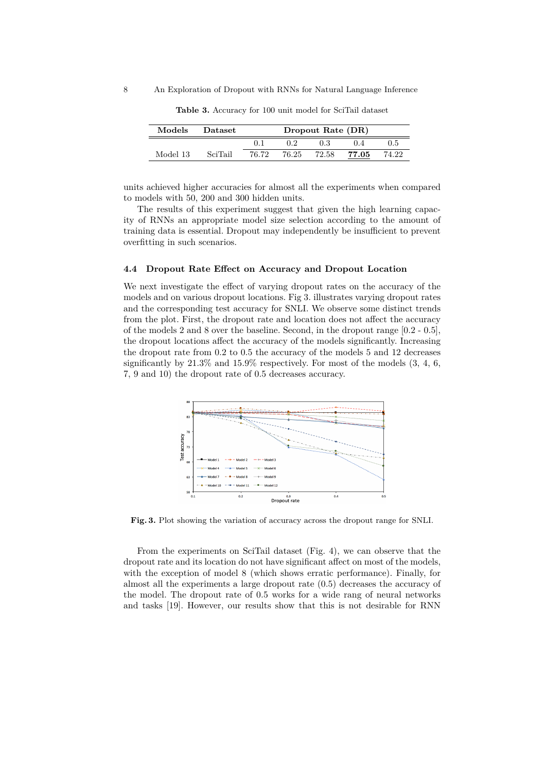8 An Exploration of Dropout with RNNs for Natural Language Inference

| <b>Models</b> | <b>Dataset</b> | Dropout Rate (DR) |       |       |       |       |  |  |
|---------------|----------------|-------------------|-------|-------|-------|-------|--|--|
|               |                | $(1)$ .           | 02    | 0.3   | 04    | 0.5   |  |  |
| Model 13      | SciTail        | 76.72             | 76.25 | 72.58 | 77.05 | 74.22 |  |  |

**Table 3.** Accuracy for 100 unit model for SciTail dataset

units achieved higher accuracies for almost all the experiments when compared to models with 50, 200 and 300 hidden units.

The results of this experiment suggest that given the high learning capacity of RNNs an appropriate model size selection according to the amount of training data is essential. Dropout may independently be insufficient to prevent overfitting in such scenarios.

### **4.4 Dropout Rate Effect on Accuracy and Dropout Location**

We next investigate the effect of varying dropout rates on the accuracy of the models and on various dropout locations. Fig 3. illustrates varying dropout rates and the corresponding test accuracy for SNLI. We observe some distinct trends from the plot. First, the dropout rate and location does not affect the accuracy of the models 2 and 8 over the baseline. Second, in the dropout range [0.2 - 0.5], the dropout locations affect the accuracy of the models significantly. Increasing the dropout rate from 0.2 to 0.5 the accuracy of the models 5 and 12 decreases significantly by  $21.3\%$  and  $15.9\%$  respectively. For most of the models  $(3, 4, 6,$ 7, 9 and 10) the dropout rate of 0.5 decreases accuracy.



**Fig. 3.** Plot showing the variation of accuracy across the dropout range for SNLI.

From the experiments on SciTail dataset (Fig. 4), we can observe that the dropout rate and its location do not have significant affect on most of the models, with the exception of model 8 (which shows erratic performance). Finally, for almost all the experiments a large dropout rate (0.5) decreases the accuracy of the model. The dropout rate of 0.5 works for a wide rang of neural networks and tasks [19]. However, our results show that this is not desirable for RNN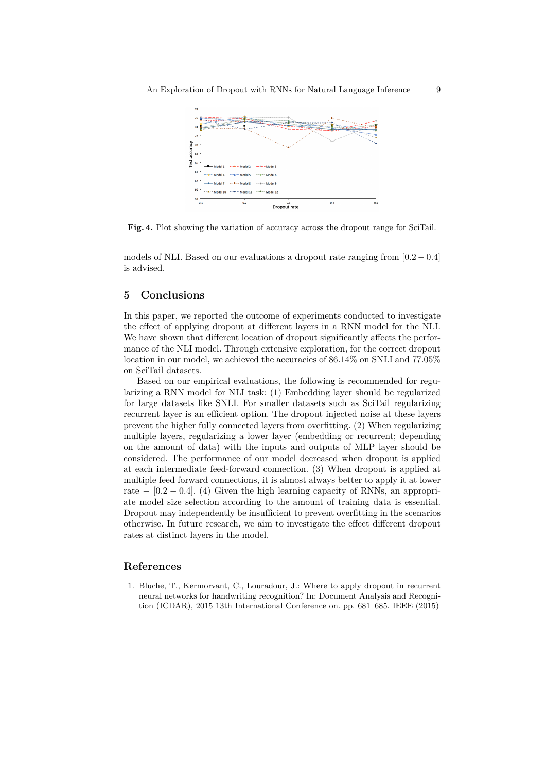

**Fig. 4.** Plot showing the variation of accuracy across the dropout range for SciTail.

models of NLI. Based on our evaluations a dropout rate ranging from [0*.*2 *−* 0*.*4] is advised.

# **5 Conclusions**

In this paper, we reported the outcome of experiments conducted to investigate the effect of applying dropout at different layers in a RNN model for the NLI. We have shown that different location of dropout significantly affects the performance of the NLI model. Through extensive exploration, for the correct dropout location in our model, we achieved the accuracies of 86.14% on SNLI and 77.05% on SciTail datasets.

Based on our empirical evaluations, the following is recommended for regularizing a RNN model for NLI task: (1) Embedding layer should be regularized for large datasets like SNLI. For smaller datasets such as SciTail regularizing recurrent layer is an efficient option. The dropout injected noise at these layers prevent the higher fully connected layers from overfitting. (2) When regularizing multiple layers, regularizing a lower layer (embedding or recurrent; depending on the amount of data) with the inputs and outputs of MLP layer should be considered. The performance of our model decreased when dropout is applied at each intermediate feed-forward connection. (3) When dropout is applied at multiple feed forward connections, it is almost always better to apply it at lower rate  $-$  [0.2  $-$  0.4]. (4) Given the high learning capacity of RNNs, an appropriate model size selection according to the amount of training data is essential. Dropout may independently be insufficient to prevent overfitting in the scenarios otherwise. In future research, we aim to investigate the effect different dropout rates at distinct layers in the model.

# **References**

1. Bluche, T., Kermorvant, C., Louradour, J.: Where to apply dropout in recurrent neural networks for handwriting recognition? In: Document Analysis and Recognition (ICDAR), 2015 13th International Conference on. pp. 681–685. IEEE (2015)